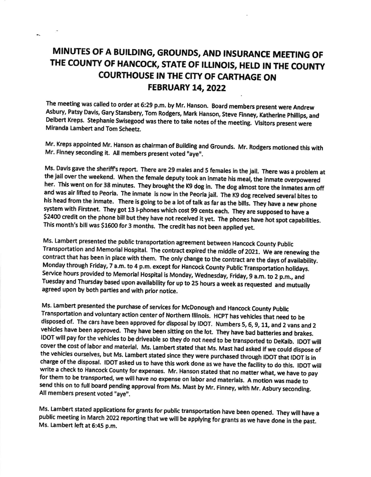## MINUTES OF A BUILDING, GROUNDS, AND INSURANCE MEETING OF THE COUNTY OF HANCOCK, STATE OF ILLINOIS, HELD IN THE COUNTY COURTHOUSE IN THE CITY OF CARTHAGE ON **FEBRUARY 14, 2022**

The meeting was called to order at 6:29 p.m. by Mr. Hanson. Board members present were Andrew<br>Asbury, Patsy Davis, Gary Stansbery, Tom Rodgers, Mark Hanson, Steve Finney, Katherine Phillips, and<br>Delbert Kreps. Stephanie Sw Miranda Lambert and Tom Scheetz.

Mr. Kreps appointed Mr. Hanson as chairman of Building and Grounds. Mr. Rodgers motioned this with Mr. Finney seconding it. All members present voted "aye".

Ms. Davis gave the sheriff's report. There are 29 males and 5 females in the jail. There was a problem at the jail over the weekend. When the female deputy took an inmate his meal, the inmate overpowered her. This went on for 38 minutes. They brought the K9 dog in. The dog almost tore the inmates arm off and was air lifted to Peoria. The inmate is now in the Peoria jail. The K9 dog received several bites to his head from t system with Firstnet. They got 13 I-phones which cost 99 cents each. They are supposed to have a \$2400 credit on the phone bill but they have not received it yet. The phones have hot spot capabilities. This month's bill was \$1600 for 3 months. The credit has not been applied yet.

Ms. Lambert presented the public transportation agreement between Hancock county publlc Transportation and Memorial Hospital. The contract expired the middle of 2021. We are renewing the contract that has been in place with them. The only change to the contract are the days of availability. Monday through Friday, 7 a.m. to 4 p.m. except for Hancock County Public Transportation holidays. Service hours provided to Memorial Hospital is Monday, Wednesday, Friday, 9 a.m. to 2 p.m., and Tuesday and rhursday based upon availabllity for up to 25 hours a week as requested and mutually agreed upon by both parties and with prior notice.

Ms. Lambert presented the purchase of services for McDonough and Hancock County Public<br>Transportation and voluntary action center of Northern Illinois. HCPT has vehicles that need to be disposed of. The cars have been approved for disposal by IDOT. Numbers 5, 6, 9, 11, and 2 vans and 2 vehicles have been approved. They have been sitting on the lot. They have bad batteries and brakes. IDOT will pay for the vehicles to be driveable so they do not need to be transported to DeKalb. IDOT will cover the cost of labor and material. Ms. Lambert stated that Ms. Mast had asked if we could dispose of the vehicles ourselves, but Ms. Lambert stated since they were purchased through IDOT that IDOT is in<br>charge of the disposal. IDOT asked us to have this work done as we have the facility to do this. IDOT will<br>write a check

Ms. Lambert stated applications for grants for public transportation have been opened. They will have a public meeting in March 2022 reporting that we will be applying for grants as we have done in the past. Ms. Lambert left at 6:45 p.m.